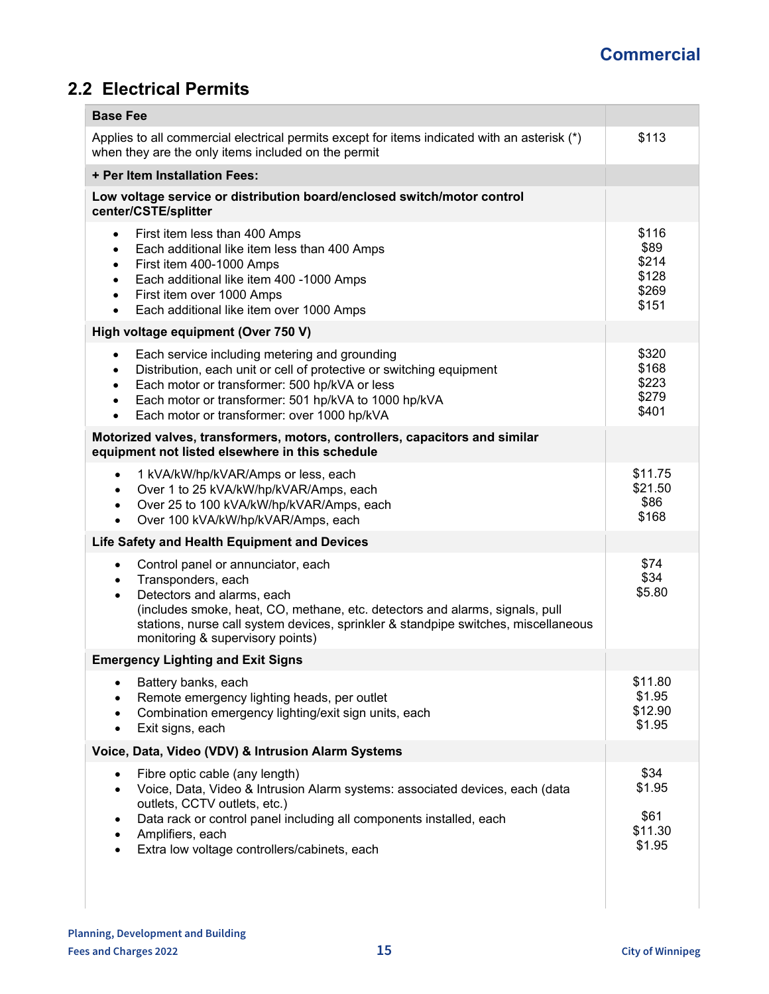## **Commercial**

## **2.2 Electrical Permits**

| <b>Base Fee</b>                                                                                                                                                                                                                                                                                                                                            |                                                   |
|------------------------------------------------------------------------------------------------------------------------------------------------------------------------------------------------------------------------------------------------------------------------------------------------------------------------------------------------------------|---------------------------------------------------|
| Applies to all commercial electrical permits except for items indicated with an asterisk (*)<br>when they are the only items included on the permit                                                                                                                                                                                                        | \$113                                             |
| + Per Item Installation Fees:                                                                                                                                                                                                                                                                                                                              |                                                   |
| Low voltage service or distribution board/enclosed switch/motor control<br>center/CSTE/splitter                                                                                                                                                                                                                                                            |                                                   |
| First item less than 400 Amps<br>$\bullet$<br>Each additional like item less than 400 Amps<br>$\bullet$<br>First item 400-1000 Amps<br>$\bullet$<br>Each additional like item 400 -1000 Amps<br>$\bullet$<br>First item over 1000 Amps<br>$\bullet$<br>Each additional like item over 1000 Amps<br>$\bullet$                                               | \$116<br>\$89<br>\$214<br>\$128<br>\$269<br>\$151 |
| High voltage equipment (Over 750 V)                                                                                                                                                                                                                                                                                                                        |                                                   |
| Each service including metering and grounding<br>$\bullet$<br>Distribution, each unit or cell of protective or switching equipment<br>$\bullet$<br>Each motor or transformer: 500 hp/kVA or less<br>$\bullet$<br>Each motor or transformer: 501 hp/kVA to 1000 hp/kVA<br>$\bullet$<br>Each motor or transformer: over 1000 hp/kVA<br>$\bullet$             | \$320<br>\$168<br>\$223<br>\$279<br>\$401         |
| Motorized valves, transformers, motors, controllers, capacitors and similar<br>equipment not listed elsewhere in this schedule                                                                                                                                                                                                                             |                                                   |
| 1 kVA/kW/hp/kVAR/Amps or less, each<br>$\bullet$<br>Over 1 to 25 kVA/kW/hp/kVAR/Amps, each<br>$\bullet$<br>Over 25 to 100 kVA/kW/hp/kVAR/Amps, each<br>$\bullet$<br>Over 100 kVA/kW/hp/kVAR/Amps, each<br>$\bullet$                                                                                                                                        | \$11.75<br>\$21.50<br>\$86<br>\$168               |
| Life Safety and Health Equipment and Devices                                                                                                                                                                                                                                                                                                               |                                                   |
| Control panel or annunciator, each<br>$\bullet$<br>Transponders, each<br>$\bullet$<br>Detectors and alarms, each<br>$\bullet$<br>(includes smoke, heat, CO, methane, etc. detectors and alarms, signals, pull<br>stations, nurse call system devices, sprinkler & standpipe switches, miscellaneous<br>monitoring & supervisory points)                    | \$74<br>\$34<br>\$5.80                            |
| <b>Emergency Lighting and Exit Signs</b>                                                                                                                                                                                                                                                                                                                   |                                                   |
| Battery banks, each<br>$\bullet$<br>Remote emergency lighting heads, per outlet<br>Combination emergency lighting/exit sign units, each<br>Exit signs, each<br>$\bullet$                                                                                                                                                                                   | \$11.80<br>\$1.95<br>\$12.90<br>\$1.95            |
| Voice, Data, Video (VDV) & Intrusion Alarm Systems                                                                                                                                                                                                                                                                                                         |                                                   |
| Fibre optic cable (any length)<br>$\bullet$<br>Voice, Data, Video & Intrusion Alarm systems: associated devices, each (data<br>$\bullet$<br>outlets, CCTV outlets, etc.)<br>Data rack or control panel including all components installed, each<br>$\bullet$<br>Amplifiers, each<br>$\bullet$<br>Extra low voltage controllers/cabinets, each<br>$\bullet$ | \$34<br>\$1.95<br>\$61<br>\$11.30<br>\$1.95       |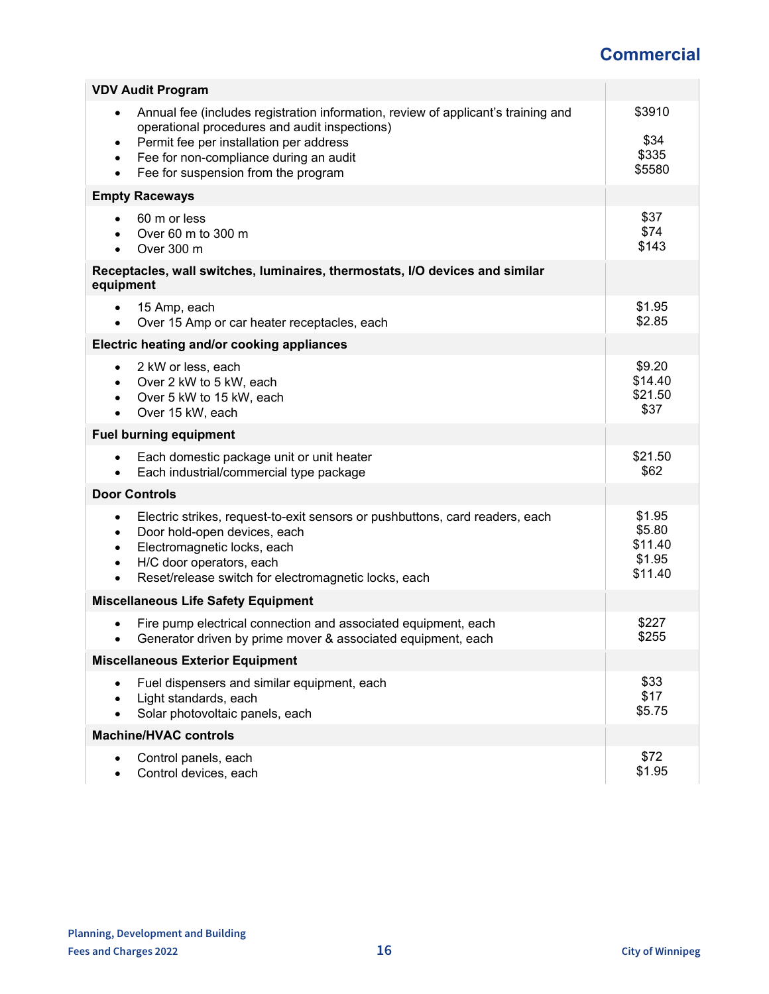## **Commercial**

| <b>VDV Audit Program</b>                                                                                                                                                                                                                                                                                           |                                                  |
|--------------------------------------------------------------------------------------------------------------------------------------------------------------------------------------------------------------------------------------------------------------------------------------------------------------------|--------------------------------------------------|
| Annual fee (includes registration information, review of applicant's training and<br>$\bullet$<br>operational procedures and audit inspections)<br>Permit fee per installation per address<br>$\bullet$<br>Fee for non-compliance during an audit<br>$\bullet$<br>Fee for suspension from the program<br>$\bullet$ | \$3910<br>\$34<br>\$335<br>\$5580                |
| <b>Empty Raceways</b>                                                                                                                                                                                                                                                                                              |                                                  |
| 60 m or less<br>Over 60 m to 300 m<br>Over 300 m<br>$\bullet$                                                                                                                                                                                                                                                      | \$37<br>\$74<br>\$143                            |
| Receptacles, wall switches, luminaires, thermostats, I/O devices and similar<br>equipment                                                                                                                                                                                                                          |                                                  |
| 15 Amp, each<br>$\bullet$<br>Over 15 Amp or car heater receptacles, each<br>$\bullet$                                                                                                                                                                                                                              | \$1.95<br>\$2.85                                 |
| Electric heating and/or cooking appliances                                                                                                                                                                                                                                                                         |                                                  |
| 2 kW or less, each<br>$\bullet$<br>Over 2 kW to 5 kW, each<br>Over 5 kW to 15 kW, each<br>Over 15 kW, each                                                                                                                                                                                                         | \$9.20<br>\$14.40<br>\$21.50<br>\$37             |
| <b>Fuel burning equipment</b>                                                                                                                                                                                                                                                                                      |                                                  |
| Each domestic package unit or unit heater<br>$\bullet$<br>Each industrial/commercial type package                                                                                                                                                                                                                  | \$21.50<br>\$62                                  |
| <b>Door Controls</b>                                                                                                                                                                                                                                                                                               |                                                  |
| Electric strikes, request-to-exit sensors or pushbuttons, card readers, each<br>$\bullet$<br>Door hold-open devices, each<br>$\bullet$<br>Electromagnetic locks, each<br>$\bullet$<br>H/C door operators, each<br>$\bullet$<br>Reset/release switch for electromagnetic locks, each<br>$\bullet$                   | \$1.95<br>\$5.80<br>\$11.40<br>\$1.95<br>\$11.40 |
| <b>Miscellaneous Life Safety Equipment</b>                                                                                                                                                                                                                                                                         |                                                  |
| Fire pump electrical connection and associated equipment, each<br>Generator driven by prime mover & associated equipment, each                                                                                                                                                                                     | \$227<br>\$255                                   |
| <b>Miscellaneous Exterior Equipment</b>                                                                                                                                                                                                                                                                            |                                                  |
| Fuel dispensers and similar equipment, each<br>$\bullet$<br>Light standards, each<br>Solar photovoltaic panels, each                                                                                                                                                                                               | \$33<br>\$17<br>\$5.75                           |
| <b>Machine/HVAC controls</b>                                                                                                                                                                                                                                                                                       |                                                  |
| Control panels, each<br>Control devices, each                                                                                                                                                                                                                                                                      | \$72<br>\$1.95                                   |